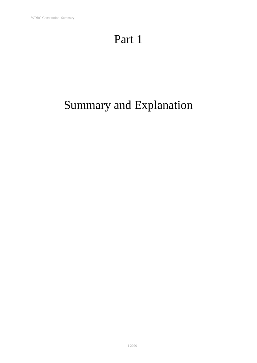## Part 1

# Summary and Explanation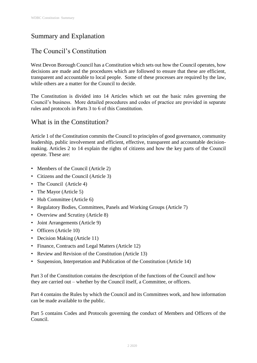## Summary and Explanation

## The Council's Constitution

West Devon Borough Council has a Constitution which sets out how the Council operates, how decisions are made and the procedures which are followed to ensure that these are efficient, transparent and accountable to local people. Some of these processes are required by the law, while others are a matter for the Council to decide.

The Constitution is divided into 14 Articles which set out the basic rules governing the Council's business. More detailed procedures and codes of practice are provided in separate rules and protocols in Parts 3 to 6 of this Constitution.

#### What is in the Constitution?

Article 1 of the Constitution commits the Council to principles of good governance, community leadership, public involvement and efficient, effective, transparent and accountable decisionmaking. Articles 2 to 14 explain the rights of citizens and how the key parts of the Council operate. These are:

- Members of the Council (Article 2)
- Citizens and the Council (Article 3)
- The Council (Article 4)
- The Mayor (Article 5)
- Hub Committee (Article 6)
- Regulatory Bodies, Committees, Panels and Working Groups (Article 7)
- Overview and Scrutiny (Article 8)
- Joint Arrangements (Article 9)
- Officers (Article 10)
- Decision Making (Article 11)
- Finance, Contracts and Legal Matters (Article 12)
- Review and Revision of the Constitution (Article 13)
- Suspension, Interpretation and Publication of the Constitution (Article 14)

Part 3 of the Constitution contains the description of the functions of the Council and how they are carried out – whether by the Council itself, a Committee, or officers.

Part 4 contains the Rules by which the Council and its Committees work, and how information can be made available to the public.

Part 5 contains Codes and Protocols governing the conduct of Members and Officers of the Council.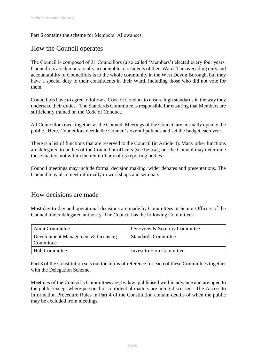Part 6 contains the scheme for Members' Allowances.

## How the Council operates

The Council is composed of 31 Councillors (also called 'Members') elected every four years. Councillors are democratically accountable to residents of their Ward. The overriding duty and accountability of Councillors is to the whole community in the West Devon Borough, but they have a special duty to their constituents in their Ward, including those who did not vote for them.

Councillors have to agree to follow a Code of Conduct to ensure high standards in the way they undertake their duties. The Standards Committee is responsible for ensuring that Members are sufficiently trained on the Code of Conduct.

All Councillors meet together as the Council. Meetings of the Council are normally open to the public. Here, Councillors decide the Council's overall policies and set the budget each year.

There is a list of functions that are reserved to the Council (in Article 4). Many other functions are delegated to bodies of the Council or officers (see below), but the Council may determine those matters not within the remit of any of its reporting bodies.

Council meetings may include formal decision making, wider debates and presentations. The Council may also meet informally in workshops and seminars.

#### How decisions are made

Most day-to-day and operational decisions are made by Committees or Senior Officers of the Council under delegated authority. The Council has the following Committees:

| <b>Audit Committee</b>                          | Overview & Scrutiny Committee   |
|-------------------------------------------------|---------------------------------|
| Development Management & Licensing<br>Committee | <b>Standards Committee</b>      |
| Hub Committee                                   | <b>Invest to Earn Committee</b> |

Part 3 of the Constitution sets out the terms of reference for each of these Committees together with the Delegation Scheme.

Meetings of the Council's Committees are, by law, publicised well in advance and are open to the public except where personal or confidential matters are being discussed. The Access to Information Procedure Rules in Part 4 of the Constitution contain details of when the public may be excluded from meetings.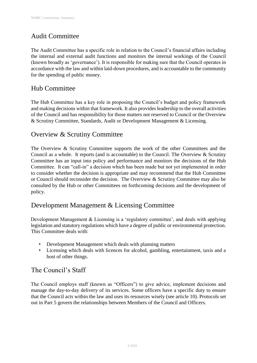## Audit Committee

The Audit Committee has a specific role in relation to the Council's financial affairs including the internal and external audit functions and monitors the internal workings of the Council (known broadly as 'governance'). It is responsible for making sure that the Council operates in accordance with the law and within laid-down procedures, and is accountable to the community for the spending of public money.

### Hub Committee

The Hub Committee has a key role in proposing the Council's budget and policy framework and making decisions within that framework. It also provides leadership to the overall activities of the Council and has responsibility for those matters not reserved to Council or the Overview & Scrutiny Committee, Standards, Audit or Development Management & Licensing.

### Overview & Scrutiny Committee

The Overview & Scrutiny Committee supports the work of the other Committees and the Council as a whole. It reports (and is accountable) to the Council. The Overview & Scrutiny Committee has an input into policy and performance and monitors the decisions of the Hub Committee. It can "call-in" a decision which has been made but not yet implemented in order to consider whether the decision is appropriate and may recommend that the Hub Committee or Council should reconsider the decision. The Overview  $&$  Scrutiny Committee may also be consulted by the Hub or other Committees on forthcoming decisions and the development of policy.

#### Development Management & Licensing Committee

Development Management & Licensing is a 'regulatory committee', and deals with applying legislation and statutory regulations which have a degree of public or environmental protection. This Committee deals with:

- Development Management which deals with planning matters
- Licensing which deals with licences for alcohol, gambling, entertainment, taxis and a host of other things.

#### The Council's Staff

The Council employs staff (known as "Officers") to give advice, implement decisions and manage the day-to-day delivery of its services. Some officers have a specific duty to ensure that the Council acts within the law and uses its resources wisely (see article 10). Protocols set out in Part 5 govern the relationships between Members of the Council and Officers.